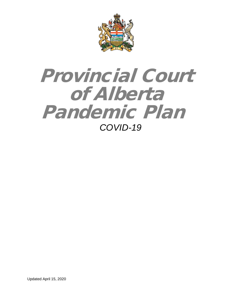

# Provincial Court of Alberta Pandemic Plan *COVID-19*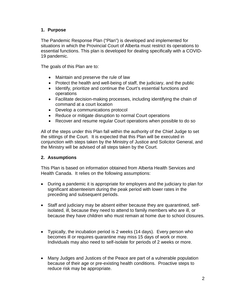# **1. Purpose**

The Pandemic Response Plan ("Plan") is developed and implemented for situations in which the Provincial Court of Alberta must restrict its operations to essential functions. This plan is developed for dealing specifically with a COVID-19 pandemic.

The goals of this Plan are to:

- Maintain and preserve the rule of law
- Protect the health and well-being of staff, the judiciary, and the public
- Identify, prioritize and continue the Court's essential functions and operations
- Facilitate decision-making processes, including identifying the chain of command at a court location
- Develop a communications protocol
- Reduce or mitigate disruption to normal Court operations
- Recover and resume regular Court operations when possible to do so

All of the steps under this Plan fall within the authority of the Chief Judge to set the sittings of the Court. It is expected that this Plan will be executed in conjunction with steps taken by the Ministry of Justice and Solicitor General, and the Ministry will be advised of all steps taken by the Court.

#### **2. Assumptions**

This Plan is based on information obtained from Alberta Health Services and Health Canada. It relies on the following assumptions:

- During a pandemic it is appropriate for employers and the judiciary to plan for significant absenteeism during the peak period with lower rates in the preceding and subsequent periods.
- Staff and judiciary may be absent either because they are quarantined, selfisolated, ill, because they need to attend to family members who are ill, or because they have children who must remain at home due to school closures.
- Typically, the incubation period is 2 weeks (14 days). Every person who becomes ill or requires quarantine may miss 15 days of work or more. Individuals may also need to self-isolate for periods of 2 weeks or more.
- Many Judges and Justices of the Peace are part of a vulnerable population because of their age or pre-existing health conditions. Proactive steps to reduce risk may be appropriate.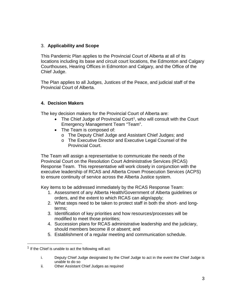## 3. **Applicability and Scope**

This Pandemic Plan applies to the Provincial Court of Alberta at all of its locations including its base and circuit court locations, the Edmonton and Calgary Courthouses, Hearing Offices in Edmonton and Calgary, and the Office of the Chief Judge.

The Plan applies to all Judges, Justices of the Peace, and judicial staff of the Provincial Court of Alberta.

# **4. Decision Makers**

The key decision makers for the Provincial Court of Alberta are:

- The Chief Judge of Provincial Court<sup>[1](#page-2-0)</sup>, who will consult with the Court Emergency Management Team "Team".
- The Team is composed of:
	- o The Deputy Chief Judge and Assistant Chief Judges; and
	- o The Executive Director and Executive Legal Counsel of the Provincial Court.

The Team will assign a representative to communicate the needs of the Provincial Court on the Resolution Court Administrative Services (RCAS) Response Team. This representative will work closely in conjunction with the executive leadership of RCAS and Alberta Crown Prosecution Services (ACPS) to ensure continuity of service across the Alberta Justice system.

Key items to be addressed immediately by the RCAS Response Team:

- 1. Assessment of any Alberta Health/Government of Alberta guidelines or orders, and the extent to which RCAS can align/apply;
- 2. What steps need to be taken to protect staff in both the short- and longterms;
- 3. Identification of key priorities and how resources/processes will be modified to meet those priorities;
- 4. Succession plans for RCAS administrative leadership and the judiciary, should members become ill or absent; and
- 5. Establishment of a regular meeting and communication schedule.

ii. Other Assistant Chief Judges as required

<span id="page-2-0"></span> $1$  If the Chief is unable to act the following will act:

i. Deputy Chief Judge designated by the Chief Judge to act in the event the Chief Judge is unable to do so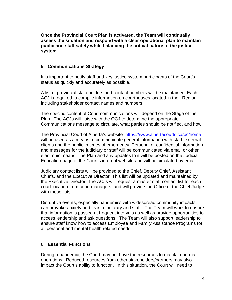**Once the Provincial Court Plan is activated, the Team will continually assess the situation and respond with a clear operational plan to maintain public and staff safety while balancing the critical nature of the justice system.** 

#### **5. Communications Strategy**

It is important to notify staff and key justice system participants of the Court's status as quickly and accurately as possible.

A list of provincial stakeholders and contact numbers will be maintained. Each ACJ is required to compile information on courthouses located in their Region – including stakeholder contact names and numbers.

The specific content of Court communications will depend on the Stage of the Plan. The ACJs will liaise with the OCJ to determine the appropriate Communications message to circulate, what parties should be notified, and how.

The Provincial Court of Alberta's website <https://www.albertacourts.ca/pc/home> will be used as a means to communicate general information with staff, external clients and the public in times of emergency. Personal or confidential information and messages for the judiciary or staff will be communicated via email or other electronic means. The Plan and any updates to it will be posted on the Judicial Education page of the Court's internal website and will be circulated by email.

Judiciary contact lists will be provided to the Chief, Deputy Chief, Assistant Chiefs, and the Executive Director. This list will be updated and maintained by the Executive Director. The ACJs will request a master staff contact list for each court location from court managers, and will provide the Office of the Chief Judge with these lists.

Disruptive events, especially pandemics with widespread community impacts, can provoke anxiety and fear in judiciary and staff. The Team will work to ensure that information is passed at frequent intervals as well as provide opportunities to access leadership and ask questions. The Team will also support leadership to ensure staff know how to access Employee and Family Assistance Programs for all personal and mental health related needs.

## 6. **Essential Functions**

During a pandemic, the Court may not have the resources to maintain normal operations. Reduced resources from other stakeholders/partners may also impact the Court's ability to function. In this situation, the Court will need to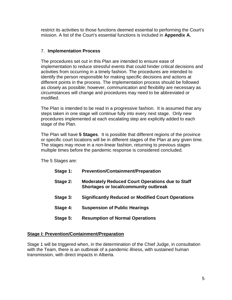restrict its activities to those functions deemed essential to performing the Court's mission. A list of the Court's essential functions is included in **Appendix A.** 

## 7. **Implementation Process**

The procedures set out in this Plan are intended to ensure ease of implementation to reduce stressful events that could hinder critical decisions and activities from occurring in a timely fashion. The procedures are intended to identify the person responsible for making specific decisions and actions at different points in the process. The implementation process should be followed as closely as possible; however, communication and flexibility are necessary as circumstances will change and procedures may need to be abbreviated or modified.

The Plan is intended to be read in a progressive fashion. It is assumed that any steps taken in one stage will continue fully into every next stage. Only new procedures implemented at each escalating step are explicitly added to each stage of the Plan.

The Plan will have **5 Stages**. It is possible that different regions of the province or specific court locations will be in different stages of the Plan at any given time. The stages may move in a non-linear fashion, returning to previous stages multiple times before the pandemic response is considered concluded.

The 5 Stages are:

- **Stage 1: Prevention/Containment/Preparation**
- **Stage 2: Moderately Reduced Court Operations due to Staff Shortages or local/community outbreak**
- **Stage 3: Significantly Reduced or Modified Court Operations**
- **Stage 4: Suspension of Public Hearings**
- **Stage 5: Resumption of Normal Operations**

#### **Stage I: Prevention/Containment/Preparation**

Stage 1 will be triggered when, in the determination of the Chief Judge, in consultation with the Team, there is an outbreak of a pandemic illness, with sustained human transmission, with direct impacts in Alberta.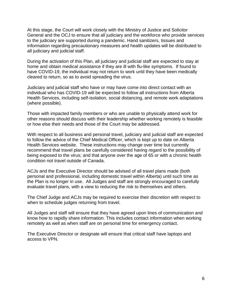At this stage, the Court will work closely with the Ministry of Justice and Solicitor General and the OCJ to ensure that all judiciary and the workforce who provide services to the judiciary are supported during a pandemic. Hand sanitizers, tissues and information regarding precautionary measures and health updates will be distributed to all judiciary and judicial staff.

During the activation of this Plan, all judiciary and judicial staff are expected to stay at home and obtain medical assistance if they are ill with flu-like symptoms. If found to have COVID-19, the individual may not return to work until they have been medically cleared to return, so as to avoid spreading the virus.

Judiciary and judicial staff who have or may have come into direct contact with an individual who has COVID-19 will be expected to follow all instructions from Alberta Health Services, including self-isolation, social distancing, and remote work adaptations (where possible).

Those with impacted family members or who are unable to physically attend work for other reasons should discuss with their leadership whether working remotely is feasible or how else their needs and those of the Court may be addressed.

With respect to all business and personal travel, judiciary and judicial staff are expected to follow the advice of the Chief Medical Officer, which is kept up to date on Alberta Health Services website. These instructions may change over time but currently recommend that travel plans be carefully considered having regard to the possibility of being exposed to the virus; and that anyone over the age of 65 or with a chronic health condition not travel outside of Canada.

ACJs and the Executive Director should be advised of all travel plans made (both personal and professional, including domestic travel within Alberta) until such time as the Plan is no longer in use. All Judges and staff are strongly encouraged to carefully evaluate travel plans, with a view to reducing the risk to themselves and others.

The Chief Judge and ACJs may be required to exercise their discretion with respect to when to schedule judges returning from travel.

All Judges and staff will ensure that they have agreed upon lines of communication and know how to rapidly share information. This includes contact information when working remotely as well as when staff are on personal time for emergency contact.

The Executive Director or designate will ensure that critical staff have laptops and access to VPN.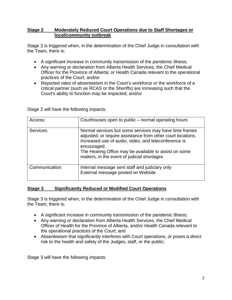## **Stage 2 Moderately Reduced Court Operations due to Staff Shortages or local/community outbreak**

Stage 2 is triggered when, in the determination of the Chief Judge in consultation with the Team, there is:

- A significant increase in community transmission of the pandemic illness;
- Any warning or declaration from Alberta Health Services, the Chief Medical Officer for the Province of Alberta; or Health Canada relevant to the operational practices of the Court, and/or
- Reported rates of absenteeism in the Court's workforce or the workforce of a critical partner (such as RCAS or the Sheriffs) are increasing such that the Court's ability to function may be impacted; and/or

| Access:        | Courthouses open to public – normal operating hours                                                                                                                                                                                                                                                  |
|----------------|------------------------------------------------------------------------------------------------------------------------------------------------------------------------------------------------------------------------------------------------------------------------------------------------------|
| Services:      | Normal services but some services may have time frames<br>adjusted; or require assistance from other court locations.<br>Increased use of audio, video, and teleconference is<br>encouraged.<br>The Hearing Office may be available to assist on some<br>matters, in the event of judicial shortages |
| Communication: | Internal message sent staff and judiciary only<br>External message posted on Website                                                                                                                                                                                                                 |

Stage 2 will have the following impacts:

## **Stage 3 Significantly Reduced or Modified Court Operations**

Stage 3 is triggered when, in the determination of the Chief Judge in consultation with the Team, there is:

- A significant increase in community transmission of the pandemic illness;
- Any warning or declaration from Alberta Health Services, the Chief Medical Officer of Health for the Province of Alberta, and/or Health Canada relevant to the operational practices of the Court; and
- Absenteeism that significantly interferes with Court operations, or poses a direct risk to the health and safety of the Judges, staff, or the public;

Stage 3 will have the following impacts: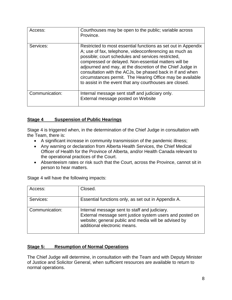| Access:        | Courthouses may be open to the public; variable across<br>Province.                                                                                                                                                                                                                                                                                                                                                                                                                      |
|----------------|------------------------------------------------------------------------------------------------------------------------------------------------------------------------------------------------------------------------------------------------------------------------------------------------------------------------------------------------------------------------------------------------------------------------------------------------------------------------------------------|
| Services:      | Restricted to most essential functions as set out in Appendix<br>A; use of fax, telephone, videoconferencing as much as<br>possible; court schedules and services restricted,<br>compressed or delayed. Non-essential matters will be<br>adjourned and may, at the discretion of the Chief Judge in<br>consultation with the ACJs, be phased back in if and when<br>circumstances permit. The Hearing Office may be available<br>to assist in the event that any courthouses are closed. |
| Communication: | Internal message sent staff and judiciary only.<br>External message posted on Website                                                                                                                                                                                                                                                                                                                                                                                                    |

# **Stage 4 Suspension of Public Hearings**

Stage 4 is triggered when, in the determination of the Chief Judge in consultation with the Team, there is:

- A significant increase in community transmission of the pandemic illness;
- Any warning or declaration from Alberta Health Services, the Chief Medical Officer of Health for the Province of Alberta, and/or Health Canada relevant to the operational practices of the Court.
- Absenteeism rates or risk such that the Court, across the Province, cannot sit in person to hear matters.

| Access:        | Closed.                                                                                                                                                                                           |
|----------------|---------------------------------------------------------------------------------------------------------------------------------------------------------------------------------------------------|
| Services:      | Essential functions only, as set out in Appendix A.                                                                                                                                               |
| Communication: | Internal message sent to staff and judiciary.<br>External message sent justice system users and posted on<br>website; general public and media will be advised by<br>additional electronic means. |

Stage 4 will have the following impacts:

# **Stage 5: Resumption of Normal Operations**

The Chief Judge will determine, in consultation with the Team and with Deputy Minister of Justice and Solicitor General, when sufficient resources are available to return to normal operations.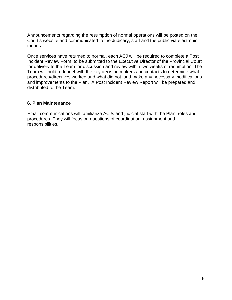Announcements regarding the resumption of normal operations will be posted on the Court's website and communicated to the Judicary, staff and the public via electronic means.

Once services have returned to normal, each ACJ will be required to complete a Post Incident Review Form, to be submitted to the Executive Director of the Provincial Court for delivery to the Team for discussion and review within two weeks of resumption. The Team will hold a debrief with the key decision makers and contacts to determine what procedures/directives worked and what did not, and make any necessary modifications and improvements to the Plan. A Post Incident Review Report will be prepared and distributed to the Team.

#### **6. Plan Maintenance**

Email communications will familiarize ACJs and judicial staff with the Plan, roles and procedures. They will focus on questions of coordination, assignment and responsibilities.